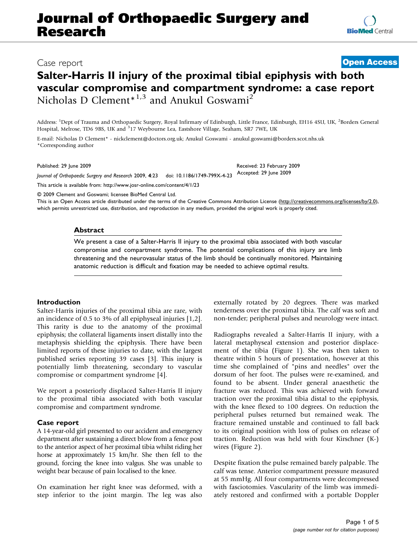# Case report

# Salter-Harris II injury of the proximal tibial epiphysis with both vascular compromise and compartment syndrome: a case report Nicholas D Clement<sup>\*1,3</sup> and Anukul Goswami<sup>2</sup>

Address: <sup>1</sup>Dept of Trauma and Orthopaedic Surgery, Royal Infirmary of Edinburgh, Little France, Edinburgh, EH16 4SU, UK, <sup>2</sup>Borders General Hospital, Melrose, TD6 9BS, UK and <sup>3</sup>17 Weybourne Lea, Eastshore Village, Seaham, SR7 7WE, UK

E-mail: Nicholas D Clement\* - nickclement@doctors.org.uk; Anukul Goswami - anukul.goswami@borders.scot.nhs.uk \*Corresponding author

Journal of Orthopaedic Surgery and Research 2009, <sup>4</sup>:23 doi: 10.1186/1749-799X-4-23 Accepted: 29 June 2009

This article is available from: http://www.josr-online.com/content/4/1/23

© 2009 Clement and Goswami; licensee BioMed Central Ltd.

This is an Open Access article distributed under the terms of the Creative Commons Attribution License [\(http://creativecommons.org/licenses/by/2.0\)](http://creativecommons.org/licenses/by/2.0), which permits unrestricted use, distribution, and reproduction in any medium, provided the original work is properly cited.

### Abstract

We present a case of a Salter-Harris II injury to the proximal tibia associated with both vascular compromise and compartment syndrome. The potential complications of this injury are limb threatening and the neurovasular status of the limb should be continually monitored. Maintaining anatomic reduction is difficult and fixation may be needed to achieve optimal results.

#### Introduction

Salter-Harris injuries of the proximal tibia are rare, with an incidence of 0.5 to 3% of all epiphyseal injuries [[1](#page-3-0),[2](#page-3-0)]. This rarity is due to the anatomy of the proximal epiphysis; the collateral ligaments insert distally into the metaphysis shielding the epiphysis. There have been limited reports of these injuries to date, with the largest published series reporting 39 cases [\[3\]](#page-3-0). This injury is potentially limb threatening, secondary to vascular compromise or compartment syndrome [[4](#page-3-0)].

We report a posteriorly displaced Salter-Harris II injury to the proximal tibia associated with both vascular compromise and compartment syndrome.

# Case report

A 14-year-old girl presented to our accident and emergency department after sustaining a direct blow from a fence post to the anterior aspect of her proximal tibia whilst riding her horse at approximately 15 km/hr. She then fell to the ground, forcing the knee into valgus. She was unable to weight bear because of pain localised to the knee.

On examination her right knee was deformed, with a step inferior to the joint margin. The leg was also externally rotated by 20 degrees. There was marked tenderness over the proximal tibia. The calf was soft and non-tender; peripheral pulses and neurology were intact.

Radiographs revealed a Salter-Harris II injury, with a lateral metaphyseal extension and posterior displacement of the tibia (Figure [1\)](#page-1-0). She was then taken to theatre within 5 hours of presentation, however at this time she complained of "pins and needles" over the dorsum of her foot. The pulses were re-examined, and found to be absent. Under general anaesthetic the fracture was reduced. This was achieved with forward traction over the proximal tibia distal to the epiphysis, with the knee flexed to 100 degrees. On reduction the peripheral pulses returned but remained weak. The fracture remained unstable and continued to fall back to its original position with loss of pulses on release of traction. Reduction was held with four Kirschner (K-) wires (Figure [2](#page-1-0)).

Despite fixation the pulse remained barely palpable. The calf was tense. Anterior compartment pressure measured at 55 mmHg. All four compartments were decompressed with fasciotomies. Vascularity of the limb was immediately restored and confirmed with a portable Doppler

**[Open Access](http://www.biomedcentral.com/info/about/charter/)**

Published: 29 June 2009 **Received: 23 February 2009** Received: 23 February 2009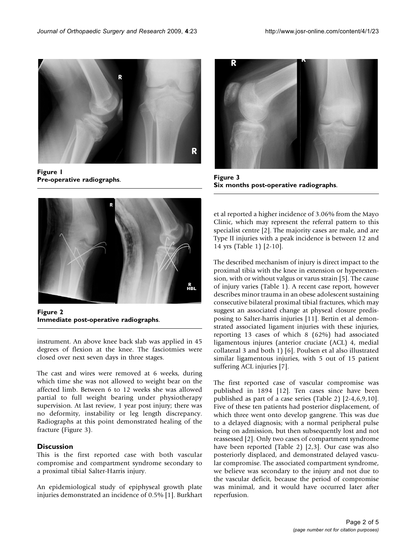<span id="page-1-0"></span>

Figure 1 Pre-operative radiographs.



Figure 2 Immediate post-operative radiographs.

instrument. An above knee back slab was applied in 45 degrees of flexion at the knee. The fasciotmies were closed over next seven days in three stages.

The cast and wires were removed at 6 weeks, during which time she was not allowed to weight bear on the affected limb. Between 6 to 12 weeks she was allowed partial to full weight bearing under physiotherapy supervision. At last review, 1 year post injury; there was no deformity, instability or leg length discrepancy. Radiographs at this point demonstrated healing of the fracture (Figure 3).

# **Discussion**

This is the first reported case with both vascular compromise and compartment syndrome secondary to a proximal tibial Salter-Harris injury.

An epidemiological study of epiphyseal growth plate injuries demonstrated an incidence of 0.5% [\[1\]](#page-3-0). Burkhart



Figure 3 Six months post-operative radiographs.

et al reported a higher incidence of 3.06% from the Mayo Clinic, which may represent the referral pattern to this specialist centre [\[2\]](#page-3-0). The majority cases are male, and are Type II injuries with a peak incidence is between 12 and 14 yrs (Table [1](#page-2-0)) [\[2-10\]](#page-3-0).

The described mechanism of injury is direct impact to the proximal tibia with the knee in extension or hyperextension, with or without valgus or varus strain [[5](#page-3-0)]. The cause of injury varies (Table [1\)](#page-2-0). A recent case report, however describes minor trauma in an obese adolescent sustaining consecutive bilateral proximal tibial fractures, which may suggest an associated change at physeal closure predisposing to Salter-harris injuries [[11\]](#page-3-0). Bertin et al demonstrated associated ligament injuries with these injuries, reporting 13 cases of which 8 (62%) had associated ligamentous injures (anterior cruciate (ACL) 4, medial collateral 3 and both 1) [\[6\]](#page-3-0). Poulsen et al also illustrated similar ligamentous injuries, with 5 out of 15 patient suffering ACL injuries [[7](#page-3-0)].

The first reported case of vascular compromise was published in 1894 [\[12](#page-4-0)]. Ten cases since have been published as part of a case series (Table [2](#page-2-0)) [[2-4,6,9,10](#page-3-0)]. Five of these ten patients had posterior displacement, of which three went onto develop gangrene. This was due to a delayed diagnosis; with a normal peripheral pulse being on admission, but then subsequently lost and not reassessed [[2](#page-3-0)]. Only two cases of compartment syndrome have been reported (Table [2\)](#page-2-0) [[2](#page-3-0),[3](#page-3-0)]. Our case was also posteriorly displaced, and demonstrated delayed vascular compromise. The associated compartment syndrome, we believe was secondary to the injury and not due to the vascular deficit, because the period of compromise was minimal, and it would have occurred later after reperfusion.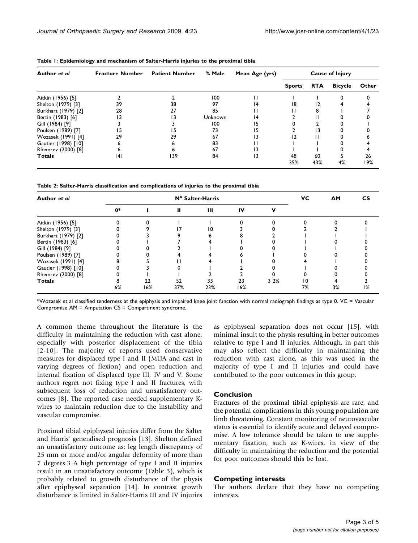| Author et al        | <b>Fracture Number</b> | <b>Patient Number</b> | % Male  | Mean Age (yrs) | <b>Cause of Injury</b> |            |                |           |
|---------------------|------------------------|-----------------------|---------|----------------|------------------------|------------|----------------|-----------|
|                     |                        |                       |         |                | <b>Sports</b>          | <b>RTA</b> | <b>Bicycle</b> | Other     |
| Aitkin (1956) [5]   |                        |                       | 100     |                |                        |            |                |           |
| Shelton (1979) [3]  | 39                     | 38                    | 97      | 14             | 18                     |            |                |           |
| Burkhart (1979) [2] | 28                     | 27                    | 85      |                |                        | 8          |                |           |
| Bertin (1983) [6]   | 3                      | 13                    | Unknown | 14             |                        |            |                |           |
| Gill (1984) [9]     |                        |                       | 100     | 15             |                        |            |                |           |
| Poulsen (1989) [7]  | 15                     | 15                    | 73      | 15             |                        | 13         |                |           |
| Wozasek (1991) [4]  | 29                     | 29                    | 67      | ۱3             | 12                     |            |                |           |
| Gautier (1998) [10] |                        |                       | 83      |                |                        |            |                |           |
| Rhemrev (2000) [8]  |                        |                       | 67      | 13             |                        |            |                |           |
| Totals              | 141                    | 139                   | 84      | 13             | 48<br>35%              | 60<br>43%  | 4%             | 26<br>19% |

<span id="page-2-0"></span>Table 1: Epidemiology and mechanism of Salter-Harris injuries to the proximal tibia

Table 2: Salter-Harris classification and complications of injuries to the proximal tibia

| Author et al        | N° Salter-Harris |     |     |     |     |      | VС | <b>AM</b> | СS |
|---------------------|------------------|-----|-----|-----|-----|------|----|-----------|----|
|                     | $0*$             |     | Ш   | Ш   | IV  |      |    |           |    |
| Aitkin (1956) [5]   |                  |     |     |     |     |      |    |           |    |
| Shelton (1979) [3]  |                  |     |     | 10  |     |      |    |           |    |
| Burkhart (1979) [2] |                  |     |     |     |     |      |    |           |    |
| Bertin (1983) [6]   |                  |     |     |     |     |      |    |           |    |
| Gill (1984) [9]     |                  |     |     |     |     |      |    |           |    |
| Poulsen (1989) [7]  |                  |     |     |     |     |      |    |           |    |
| Wozasek (1991) [4]  |                  |     |     |     |     |      |    |           |    |
| Gautier (1998) [10] |                  |     |     |     |     |      |    |           |    |
| Rhemrev (2000) [8]  |                  |     |     |     |     |      |    |           |    |
| <b>Totals</b>       |                  | 22  | 52  | 33  | 23  | 3 2% | 10 |           |    |
|                     | 6%               | 16% | 37% | 23% | 16% |      | 7% | 3%        | 1% |

\*Wozasek et al classified tenderness at the epiphysis and impaired knee joint function with normal radiograph findings as type 0. VC = Vascular Compromise AM = Amputation CS = Compartment syndrome.

A common theme throughout the literature is the difficulty in maintaining the reduction with cast alone, especially with posterior displacement of the tibia [[2-10](#page-3-0)]. The majority of reports used conservative measures for displaced type I and II (MUA and cast in varying degrees of flexion) and open reduction and internal fixation of displaced type III, IV and V. Some authors regret not fixing type I and II fractures, with subsequent loss of reduction and unsatisfactory outcomes [\[8\]](#page-3-0). The reported case needed supplementary Kwires to maintain reduction due to the instability and vascular compromise.

Proximal tibial epiphyseal injuries differ from the Salter and Harris' generalised prognosis [[13\]](#page-4-0). Shelton defined an unsatisfactory outcome as: leg length discrepancy of 25 mm or more and/or angular deformity of more than 7 degrees.3 A high percentage of type I and II injuries result in an unsatisfactory outcome (Table [3\)](#page-3-0), which is probably related to growth disturbance of the physis after epiphyseal separation [[14\]](#page-4-0). In contrast growth disturbance is limited in Salter-Harris III and IV injuries as epiphyseal separation does not occur [[15\]](#page-4-0), with minimal insult to the physis resulting in better outcomes relative to type I and II injuries. Although, in part this may also reflect the difficulty in maintaining the reduction with cast alone, as this was used in the majority of type I and II injuries and could have contributed to the poor outcomes in this group.

# Conclusion

Fractures of the proximal tibial epiphysis are rare, and the potential complications in this young population are limb threatening. Constant monitoring of neurovascular status is essential to identify acute and delayed compromise. A low tolerance should be taken to use supplementary fixation, such as K-wires, in view of the difficulty in maintaining the reduction and the potential for poor outcomes should this be lost.

# Competing interests

The authors declare that they have no competing interests.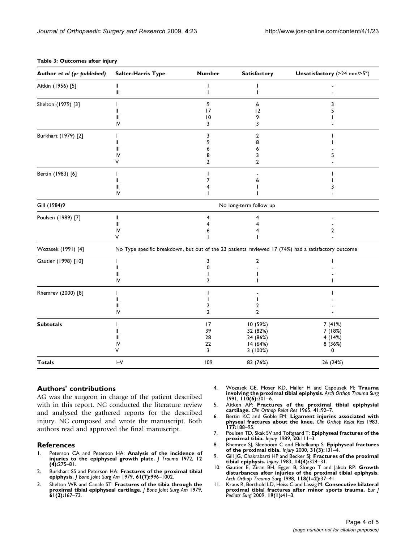| Author et al (yr published) | <b>Salter-Harris Type</b>                                                                           | <b>Number</b>                   | <b>Satisfactory</b>                                     | Unsatisfactory ( $>24$ mm/ $>5^{\circ}$ )  |  |  |  |
|-----------------------------|-----------------------------------------------------------------------------------------------------|---------------------------------|---------------------------------------------------------|--------------------------------------------|--|--|--|
| Aitkin (1956) [5]           | Ш<br>Ш                                                                                              | T                               | ı                                                       |                                            |  |  |  |
| Shelton (1979) [3]          | ı<br>Ш<br>Ш<br>IV                                                                                   | 9<br>17<br>$\overline{10}$<br>3 | 6<br>12<br>9<br>3                                       | 3<br>5                                     |  |  |  |
| Burkhart (1979) [2]         | Ш<br>Ш<br>IV<br>v                                                                                   | 3<br>9<br>8<br>$\overline{2}$   | 2<br>8<br>6<br>3<br>$\overline{2}$                      |                                            |  |  |  |
| Bertin (1983) [6]           | ı<br>Ш<br>Ш<br>IV                                                                                   | 7                               |                                                         | 3                                          |  |  |  |
| Gill (1984)9                | No long-term follow up                                                                              |                                 |                                                         |                                            |  |  |  |
| Poulsen (1989) [7]          | Ш<br>$\mathbf{III}$<br>IV<br>٧                                                                      | 6                               | 4                                                       | $\overline{\mathbf{2}}$                    |  |  |  |
| Wozasek (1991) [4]          | No Type specific breakdown, but out of the 23 patients reviewed 17 (74%) had a satisfactory outcome |                                 |                                                         |                                            |  |  |  |
| Gautier (1998) [10]         | Ш<br>$\mathbf{III}$<br>IV                                                                           | 3<br>O<br>$\overline{2}$        | $\overline{2}$                                          |                                            |  |  |  |
| Rhemrev (2000) [8]          | T<br>Ш<br>Ш<br>IV                                                                                   | 2<br>$\overline{2}$             | 2<br>$\overline{2}$                                     |                                            |  |  |  |
| <b>Subtotals</b>            | Ш<br>Ш<br>IV<br>٧                                                                                   | 17<br>39<br>28<br>22<br>3       | 10 (59%)<br>32 (82%)<br>24 (86%)<br>14 (64%)<br>3(100%) | 7(41%)<br>7(18%)<br>4(14%)<br>8 (36%)<br>0 |  |  |  |
| <b>Totals</b>               | $I-V$                                                                                               | 109                             | 83 (76%)                                                | 26 (24%)                                   |  |  |  |

#### <span id="page-3-0"></span>Table 3: Outcomes after injury

#### Authors' contributions

AG was the surgeon in charge of the patient described with in this report. NC conducted the literature review and analysed the gathered reports for the described injury. NC composed and wrote the manuscript. Both authors read and approved the final manuscript.

## References

- 1. Peterson CA and Peterson HA: [Analysis of the incidence of](http://www.ncbi.nlm.nih.gov/pubmed/5018408?dopt=Abstract) [injuries to the epiphyseal growth plate.](http://www.ncbi.nlm.nih.gov/pubmed/5018408?dopt=Abstract) J Trauma 1972, 12 (4):275–81.
- 2. Burkhart SS and Peterson HA: **[Fractures of the proximal tibial](http://www.ncbi.nlm.nih.gov/pubmed/489664?dopt=Abstract)**<br>[epiphysis.](http://www.ncbi.nlm.nih.gov/pubmed/489664?dopt=Abstract) J Bone Joint Surg Am 1979, 61(7):996–1002.
- 3. Shelton WR and Canale ST: [Fractures of the tibia through the](http://www.ncbi.nlm.nih.gov/pubmed/581764?dopt=Abstract) [proximal tibial epiphyseal cartilage.](http://www.ncbi.nlm.nih.gov/pubmed/581764?dopt=Abstract) J Bone Joint Surg Am 1979, 61(2):167–73.
- 4. Wozasek GE, Moser KD, Haller H and Capousek M: [Trauma](http://www.ncbi.nlm.nih.gov/pubmed/1747311?dopt=Abstract) [involving the proximal tibial epiphysis.](http://www.ncbi.nlm.nih.gov/pubmed/1747311?dopt=Abstract) Arch Orthop Trauma Surg  $1991, 110(6):301-6.$
- 5. Aitken AP: [Fractures of the proximal tibial epiphysial](http://www.ncbi.nlm.nih.gov/pubmed/5832742?dopt=Abstract) [cartilage.](http://www.ncbi.nlm.nih.gov/pubmed/5832742?dopt=Abstract) Clin Orthop Relat Res 1965, 41:92–7.
- 6. Bertin KC and Goble EM: [Ligament injuries associated with](http://www.ncbi.nlm.nih.gov/pubmed/6861396?dopt=Abstract) [physeal fractures about the knee.](http://www.ncbi.nlm.nih.gov/pubmed/6861396?dopt=Abstract) Clin Orthop Relat Res 1983, 177:188–95.
- 7. Poulsen TD, Skak SV and Toftgaard T: [Epiphyseal fractures of the](http://www.ncbi.nlm.nih.gov/pubmed/2592075?dopt=Abstract) [proximal tibia.](http://www.ncbi.nlm.nih.gov/pubmed/2592075?dopt=Abstract) Injury 1989, 20:111–3.
- 8. Rhemrev SJ, Sleeboom C and Ekkelkamp S: [Epiphyseal fractures](http://www.ncbi.nlm.nih.gov/pubmed/10704575?dopt=Abstract) [of the proximal tibia.](http://www.ncbi.nlm.nih.gov/pubmed/10704575?dopt=Abstract) Injury 2000, 31(3):131–4.
- 9. Gill JG, Chakrabarti HP and Becker SJ: [Fractures of the proximal](http://www.ncbi.nlm.nih.gov/pubmed/6852895?dopt=Abstract) [tibial epiphysis.](http://www.ncbi.nlm.nih.gov/pubmed/6852895?dopt=Abstract) Injury 1983,  $14(4)$ :324-31.
- 10. Gautier E, Ziran BH, Egger B, Slongo T and Jakob RP: [Growth](http://www.ncbi.nlm.nih.gov/pubmed/9833103?dopt=Abstract) [disturbances after injuries of the proximal tibial epiphysis.](http://www.ncbi.nlm.nih.gov/pubmed/9833103?dopt=Abstract) Arch Orthop Trauma Surg 1998, 118(1–2):37–41.
- 11. Kraus R, Berthold LD, Heiss C and Lassig M: [Consecutive bilateral](http://www.ncbi.nlm.nih.gov/pubmed/18629771?dopt=Abstract) [proximal tibial fractures after minor sports trauma.](http://www.ncbi.nlm.nih.gov/pubmed/18629771?dopt=Abstract) Eur j<br>Pediatr Surg 2009, 19(1):41–3.